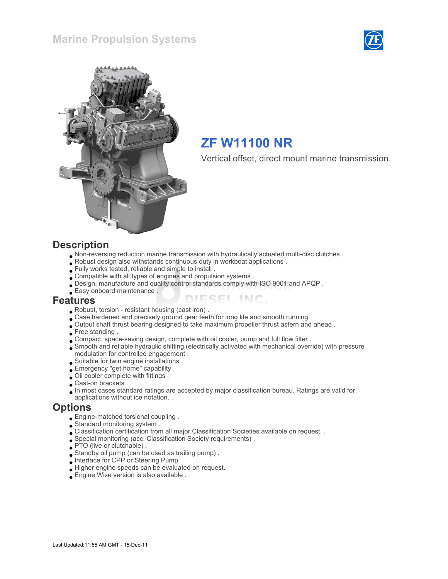



# ZF W11100 NR

Vertical offset, direct mount marine transmission.

#### **Description**

- Non-reversing reduction marine transmission with hydraulically actuated multi-disc clutches .
- Robust design also withstands continuous duty in workboat applications .
- Fully works tested, reliable and simple to install .
- Compatible with all types of engines and propulsion systems .
- Design, manufacture and quality control standards comply with ISO 9001 and APQP .
- Easy onboard maintenance .

#### Features

- Robust, torsion resistant housing (cast iron) .
- Case hardened and precisely ground gear teeth for long life and smooth running .
- Output shaft thrust bearing designed to take maximum propeller thrust astern and ahead .
- Free standing .
- Compact, space-saving design, complete with oil cooler, pump and full flow filter .
- Smooth and reliable hydraulic shifting (electrically activated with mechanical override) with pressure modulation for controlled engagement .

ESEL INC.

- Suitable for twin engine installations .
- Emergency "get home" capability .
- Oil cooler complete with fittings .
- Cast-on brackets .
- In most cases standard ratings are accepted by major classification bureau. Ratings are valid for
- applications without ice notation. .

#### **Options**

- Engine-matched torsional coupling .
- Standard monitoring system .
- Classification certification from all major Classification Societies available on request. .
- Special monitoring (acc. Classification Society requirements) .
- PTO (live or clutchable).
- Standby oil pump (can be used as trailing pump) .
- Interface for CPP or Steering Pump .
- Higher engine speeds can be evaluated on request.
- Engine Wise version is also available .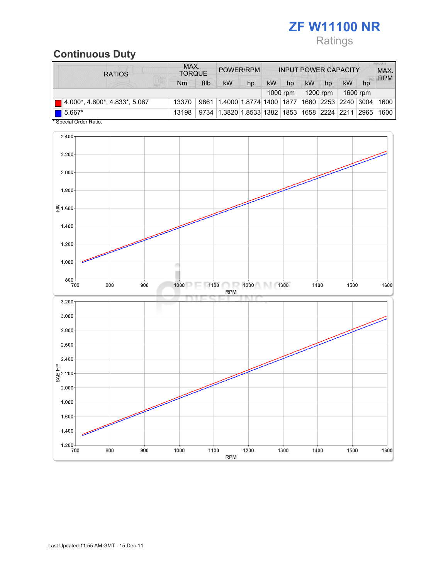## ZF W11100 NR Ratings

## Continuous Duty

| <b>RATIOS</b>                             | MAX.<br><b>TORQUE</b> |      | POWER/RPM                                  |                          | <b>INPUT POWER CAPACITY</b> |    |          |    |                        | <b>ALICE AT IT</b><br>MAX.<br><b>RPM</b> |      |
|-------------------------------------------|-----------------------|------|--------------------------------------------|--------------------------|-----------------------------|----|----------|----|------------------------|------------------------------------------|------|
|                                           | Nm                    | ftlb | kW                                         | hp                       | kW                          | hp | kW       | hp | <b>kW</b>              | hp                                       |      |
|                                           |                       |      |                                            |                          |                             |    | 1200 rpm |    | 1600 rpm               |                                          |      |
| $\boxed{ }$ 4.000*, 4.600*, 4.833*, 5.087 | 13370                 | 9861 |                                            | 1.4000 1.8774 1400  1877 |                             |    |          |    | 1680  2253  2240  3004 |                                          | 1600 |
| 15.667*<br>.                              | 13198                 | 9734 | 1.3820 1.8533 1382  1853  1658  2224  2211 |                          |                             |    |          |    |                        | 2965                                     | 1600 |

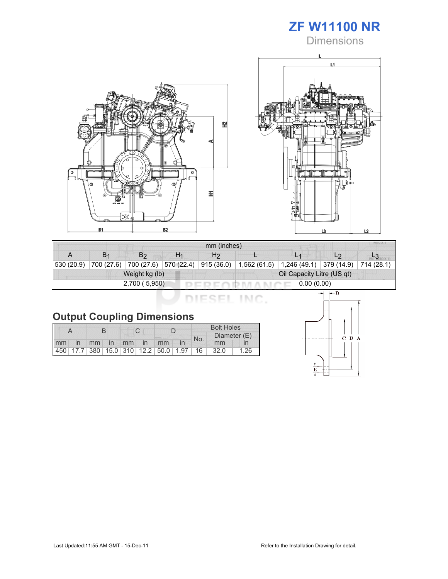

**Dimensions** 





| mm (inches)                |                       |                |                       |                            |  |                                                        |                |  |  |  |
|----------------------------|-----------------------|----------------|-----------------------|----------------------------|--|--------------------------------------------------------|----------------|--|--|--|
|                            | <b>B</b> <sub>1</sub> | B2             | H <sub>1</sub>        | H <sub>2</sub>             |  |                                                        | L <sub>2</sub> |  |  |  |
| 530 (20.9)                 | 700 (27.6)            |                | 700 (27.6) 570 (22.4) | 915 (36.0)                 |  | $1,562(61.5)$   1,246 (49.1)   379 (14.9)   714 (28.1) |                |  |  |  |
|                            |                       | Weight kg (lb) |                       | Oil Capacity Litre (US qt) |  |                                                        |                |  |  |  |
| 2,700(5,950)<br>0.00(0.00) |                       |                |                       |                            |  |                                                        |                |  |  |  |

DIESEL INC.

|    |                          |  |  |             | <b>Bolt Holes</b>                       |              |      |      |
|----|--------------------------|--|--|-------------|-----------------------------------------|--------------|------|------|
|    |                          |  |  |             | No.                                     | Diameter (E) |      |      |
| mm | $\overline{\mathsf{in}}$ |  |  | mm in mm in | mm                                      |              | mm   |      |
|    |                          |  |  |             | 450 17.7 380 15.0 310 12.2 50.0 1.97 16 |              | 32.0 | 1.26 |